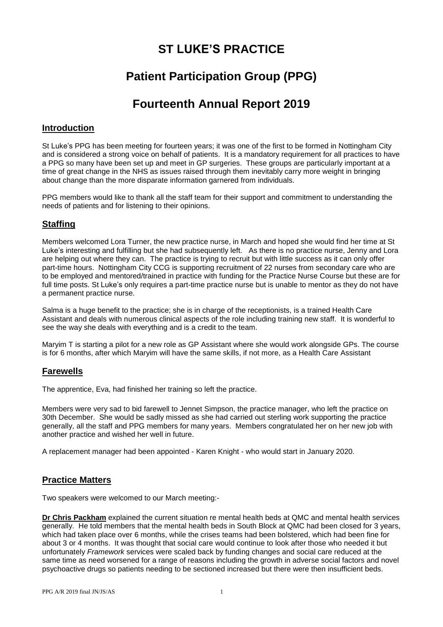# **ST LUKE'S PRACTICE**

# **Patient Participation Group (PPG)**

# **Fourteenth Annual Report 2019**

### **Introduction**

St Luke's PPG has been meeting for fourteen years; it was one of the first to be formed in Nottingham City and is considered a strong voice on behalf of patients. It is a mandatory requirement for all practices to have a PPG so many have been set up and meet in GP surgeries. These groups are particularly important at a time of great change in the NHS as issues raised through them inevitably carry more weight in bringing about change than the more disparate information garnered from individuals.

PPG members would like to thank all the staff team for their support and commitment to understanding the needs of patients and for listening to their opinions.

## **Staffing**

Members welcomed Lora Turner, the new practice nurse, in March and hoped she would find her time at St Luke's interesting and fulfilling but she had subsequently left. As there is no practice nurse, Jenny and Lora are helping out where they can. The practice is trying to recruit but with little success as it can only offer part-time hours. Nottingham City CCG is supporting recruitment of 22 nurses from secondary care who are to be employed and mentored/trained in practice with funding for the Practice Nurse Course but these are for full time posts. St Luke's only requires a part-time practice nurse but is unable to mentor as they do not have a permanent practice nurse.

Salma is a huge benefit to the practice; she is in charge of the receptionists, is a trained Health Care Assistant and deals with numerous clinical aspects of the role including training new staff. It is wonderful to see the way she deals with everything and is a credit to the team.

Maryim T is starting a pilot for a new role as GP Assistant where she would work alongside GPs. The course is for 6 months, after which Maryim will have the same skills, if not more, as a Health Care Assistant

### **Farewells**

The apprentice, Eva, had finished her training so left the practice.

Members were very sad to bid farewell to Jennet Simpson, the practice manager, who left the practice on 30th December. She would be sadly missed as she had carried out sterling work supporting the practice generally, all the staff and PPG members for many years. Members congratulated her on her new job with another practice and wished her well in future.

A replacement manager had been appointed - Karen Knight - who would start in January 2020.

### **Practice Matters**

Two speakers were welcomed to our March meeting:-

**Dr Chris Packham** explained the current situation re mental health beds at QMC and mental health services generally. He told members that the mental health beds in South Block at QMC had been closed for 3 years, which had taken place over 6 months, while the crises teams had been bolstered, which had been fine for about 3 or 4 months. It was thought that social care would continue to look after those who needed it but unfortunately *Framework* services were scaled back by funding changes and social care reduced at the same time as need worsened for a range of reasons including the growth in adverse social factors and novel psychoactive drugs so patients needing to be sectioned increased but there were then insufficient beds.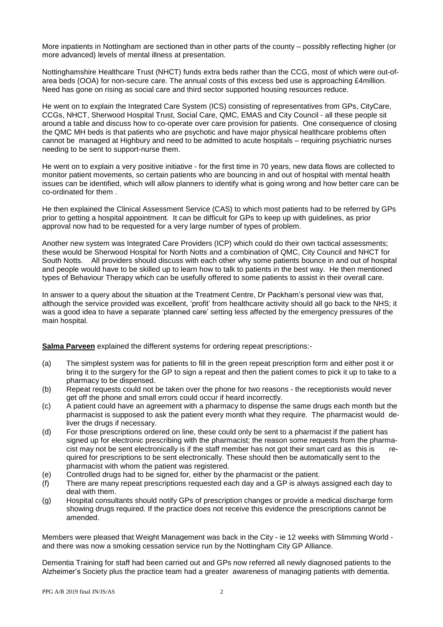More inpatients in Nottingham are sectioned than in other parts of the county – possibly reflecting higher (or more advanced) levels of mental illness at presentation.

Nottinghamshire Healthcare Trust (NHCT) funds extra beds rather than the CCG, most of which were out-ofarea beds (OOA) for non-secure care. The annual costs of this excess bed use is approaching £4million. Need has gone on rising as social care and third sector supported housing resources reduce.

He went on to explain the Integrated Care System (ICS) consisting of representatives from GPs, CityCare, CCGs, NHCT, Sherwood Hospital Trust, Social Care, QMC, EMAS and City Council - all these people sit around a table and discuss how to co-operate over care provision for patients. One consequence of closing the QMC MH beds is that patients who are psychotic and have major physical healthcare problems often cannot be managed at Highbury and need to be admitted to acute hospitals – requiring psychiatric nurses needing to be sent to support-nurse them.

He went on to explain a very positive initiative - for the first time in 70 years, new data flows are collected to monitor patient movements, so certain patients who are bouncing in and out of hospital with mental health issues can be identified, which will allow planners to identify what is going wrong and how better care can be co-ordinated for them .

He then explained the Clinical Assessment Service (CAS) to which most patients had to be referred by GPs prior to getting a hospital appointment. It can be difficult for GPs to keep up with guidelines, as prior approval now had to be requested for a very large number of types of problem.

Another new system was Integrated Care Providers (ICP) which could do their own tactical assessments; these would be Sherwood Hospital for North Notts and a combination of QMC, City Council and NHCT for South Notts. All providers should discuss with each other why some patients bounce in and out of hospital and people would have to be skilled up to learn how to talk to patients in the best way. He then mentioned types of Behaviour Therapy which can be usefully offered to some patients to assist in their overall care.

In answer to a query about the situation at the Treatment Centre, Dr Packham's personal view was that, although the service provided was excellent, 'profit' from healthcare activity should all go back to the NHS; it was a good idea to have a separate 'planned care' setting less affected by the emergency pressures of the main hospital.

**Salma Parveen** explained the different systems for ordering repeat prescriptions:-

- (a) The simplest system was for patients to fill in the green repeat prescription form and either post it or bring it to the surgery for the GP to sign a repeat and then the patient comes to pick it up to take to a pharmacy to be dispensed.
- (b) Repeat requests could not be taken over the phone for two reasons the receptionists would never get off the phone and small errors could occur if heard incorrectly.
- (c) A patient could have an agreement with a pharmacy to dispense the same drugs each month but the pharmacist is supposed to ask the patient every month what they require. The pharmacist would deliver the drugs if necessary.
- (d) For those prescriptions ordered on line, these could only be sent to a pharmacist if the patient has signed up for electronic prescribing with the pharmacist; the reason some requests from the pharmacist may not be sent electronically is if the staff member has not got their smart card as this is required for prescriptions to be sent electronically. These should then be automatically sent to the pharmacist with whom the patient was registered.
- (e) Controlled drugs had to be signed for, either by the pharmacist or the patient.
- (f) There are many repeat prescriptions requested each day and a GP is always assigned each day to deal with them.
- (g) Hospital consultants should notify GPs of prescription changes or provide a medical discharge form showing drugs required. If the practice does not receive this evidence the prescriptions cannot be amended.

Members were pleased that Weight Management was back in the City - ie 12 weeks with Slimming World and there was now a smoking cessation service run by the Nottingham City GP Alliance.

Dementia Training for staff had been carried out and GPs now referred all newly diagnosed patients to the Alzheimer's Society plus the practice team had a greater awareness of managing patients with dementia.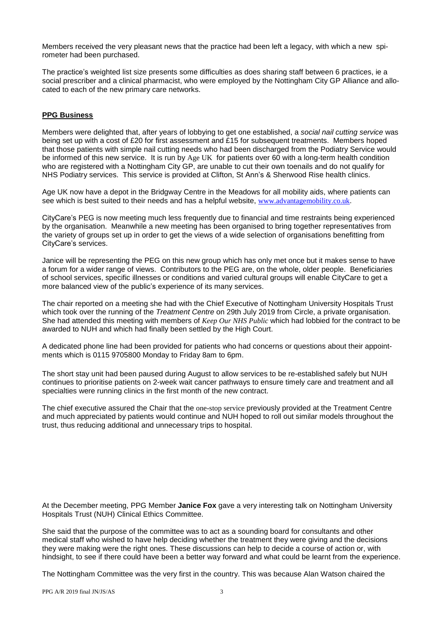Members received the very pleasant news that the practice had been left a legacy, with which a new spirometer had been purchased.

The practice's weighted list size presents some difficulties as does sharing staff between 6 practices, ie a social prescriber and a clinical pharmacist, who were employed by the Nottingham City GP Alliance and allocated to each of the new primary care networks.

#### **PPG Business**

Members were delighted that, after years of lobbying to get one established, a *social nail cutting service* was being set up with a cost of £20 for first assessment and £15 for subsequent treatments. Members hoped that those patients with simple nail cutting needs who had been discharged from the Podiatry Service would be informed of this new service. It is run by Age UK for patients over 60 with a long-term health condition who are registered with a Nottingham City GP, are unable to cut their own toenails and do not qualify for NHS Podiatry services. This service is provided at Clifton, St Ann's & Sherwood Rise health clinics.

Age UK now have a depot in the Bridgway Centre in the Meadows for all mobility aids, where patients can see which is best suited to their needs and has a helpful website, [www.advantagemobility.co.uk](http://www.advantagemobility.co.uk/).

CityCare's PEG is now meeting much less frequently due to financial and time restraints being experienced by the organisation. Meanwhile a new meeting has been organised to bring together representatives from the variety of groups set up in order to get the views of a wide selection of organisations benefitting from CityCare's services.

Janice will be representing the PEG on this new group which has only met once but it makes sense to have a forum for a wider range of views. Contributors to the PEG are, on the whole, older people. Beneficiaries of school services, specific illnesses or conditions and varied cultural groups will enable CityCare to get a more balanced view of the public's experience of its many services.

The chair reported on a meeting she had with the Chief Executive of Nottingham University Hospitals Trust which took over the running of the *Treatment Centre* on 29th July 2019 from Circle, a private organisation. She had attended this meeting with members of *Keep Our NHS Public* which had lobbied for the contract to be awarded to NUH and which had finally been settled by the High Court.

A dedicated phone line had been provided for patients who had concerns or questions about their appointments which is 0115 9705800 Monday to Friday 8am to 6pm.

The short stay unit had been paused during August to allow services to be re-established safely but NUH continues to prioritise patients on 2-week wait cancer pathways to ensure timely care and treatment and all specialties were running clinics in the first month of the new contract.

The chief executive assured the Chair that the one-stop service previously provided at the Treatment Centre and much appreciated by patients would continue and NUH hoped to roll out similar models throughout the trust, thus reducing additional and unnecessary trips to hospital.

At the December meeting, PPG Member **Janice Fox** gave a very interesting talk on Nottingham University Hospitals Trust (NUH) Clinical Ethics Committee.

She said that the purpose of the committee was to act as a sounding board for consultants and other medical staff who wished to have help deciding whether the treatment they were giving and the decisions they were making were the right ones. These discussions can help to decide a course of action or, with hindsight, to see if there could have been a better way forward and what could be learnt from the experience.

The Nottingham Committee was the very first in the country. This was because Alan Watson chaired the